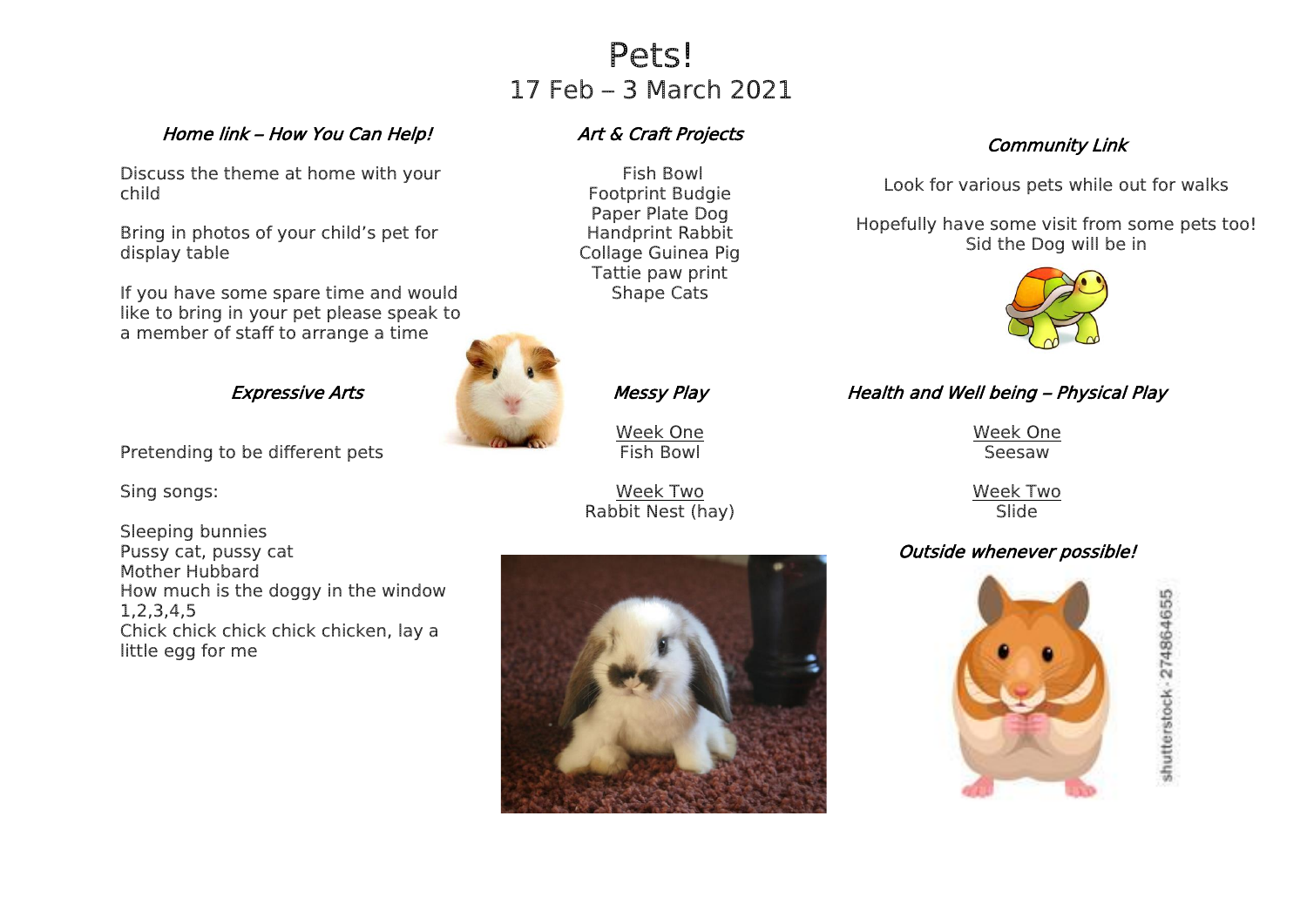# Pets! 17 Feb – 3 March 2021

### Home link – How You Can Help!

Discuss the theme at home with your child

Bring in photos of your child's pet for display table

If you have some spare time and would like to bring in your pet please speak to a member of staff to arrange a time

### Expressive Arts

Pretending to be different pets

Sing songs:

Sleeping bunnies Pussy cat, pussy cat Mother Hubbard How much is the doggy in the window 1,2,3,4,5 Chick chick chick chick chicken, lay a little egg for me

## Art & Craft Projects

Fish Bowl Footprint Budgie Paper Plate Dog Handprint Rabbit Collage Guinea Pig Tattie paw print Shape Cats



Messy Play

Week One Fish Bowl

Week Two Rabbit Nest (hay)



## Community Link

Look for various pets while out for walks

Hopefully have some visit from some pets too! Sid the Dog will be in



## Health and Well being – Physical Play

Week One Seesaw

Week Two **Slide** 

## Outside whenever possible!



shutterstock - 274864655